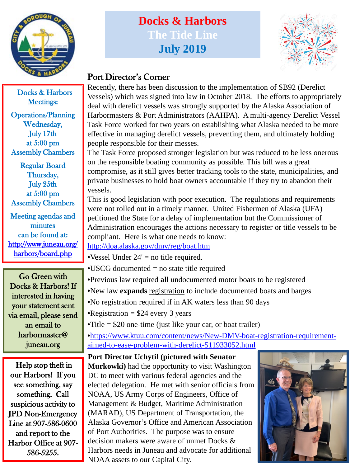

Docks & Harbors Meetings:

Operations/Planning Wednesday, July 17th at 5:00 pm Assembly Chambers

Regular Board Thursday, July 25th at 5:00 pm Assembly Chambers

Meeting agendas and minutes can be found at: [http://www.juneau.org/](http://www.juneau.org/harbors/board.php) [harbors/board.php](http://www.juneau.org/harbors/board.php)

Go Green with Docks & Harbors! If interested in having your statement sent via email, please send an email to harbormaster@ juneau.org

Help stop theft in our Harbors! If you see something, say something. Call suspicious activity to JPD Non-Emergency Line at 907-586-0600 and report to the Harbor Office at 907- 586-5255.

# **Docks & Harbors The Tide Line July 2019**



### Port Director's Corner

Recently, there has been discussion to the implementation of SB92 (Derelict Vessels) which was signed into law in October 2018. The efforts to appropriately deal with derelict vessels was strongly supported by the Alaska Association of Harbormasters & Port Administrators (AAHPA). A multi-agency Derelict Vessel Task Force worked for two years on establishing what Alaska needed to be more effective in managing derelict vessels, preventing them, and ultimately holding people responsible for their messes.

The Task Force proposed stronger legislation but was reduced to be less onerous on the responsible boating community as possible. This bill was a great compromise, as it still gives better tracking tools to the state, municipalities, and private businesses to hold boat owners accountable if they try to abandon their vessels.

This is good legislation with poor execution. The regulations and requirements were not rolled out in a timely manner. United Fishermen of Alaska (UFA) petitioned the State for a delay of implementation but the Commissioner of Administration encourages the actions necessary to register or title vessels to be compliant. Here is what one needs to know:

<http://doa.alaska.gov/dmv/reg/boat.htm>

•Vessel Under  $24'$  = no title required.

- •USCG documented = no state title required
- •Previous law required **all** undocumented motor boats to be registered
- •New law **expands** registration to include documented boats and barges
- •No registration required if in AK waters less than 90 days
- •Registration  $= $24$  every 3 years
- •Title  $= $20$  one-time (just like your car, or boat trailer)

•[https://www.ktuu.com/content/news/New-DMV-boat-registration-requirement](https://www.ktuu.com/content/news/New-DMV-boat-registration-requirement-aimed-to-ease-problem-with-derelict-511933052.html)aimed-to-ease-problem-with-derelict-511933052.html

**Port Director Uchytil (pictured with Senator Murkowki)** had the opportunity to visit Washington DC to meet with various federal agencies and the elected delegation. He met with senior officials from NOAA, US Army Corps of Engineers, Office of Management & Budget, Maritime Administration (MARAD), US Department of Transportation, the Alaska Governor's Office and American Association of Port Authorities. The purpose was to ensure decision makers were aware of unmet Docks & Harbors needs in Juneau and advocate for additional NOAA assets to our Capital City.